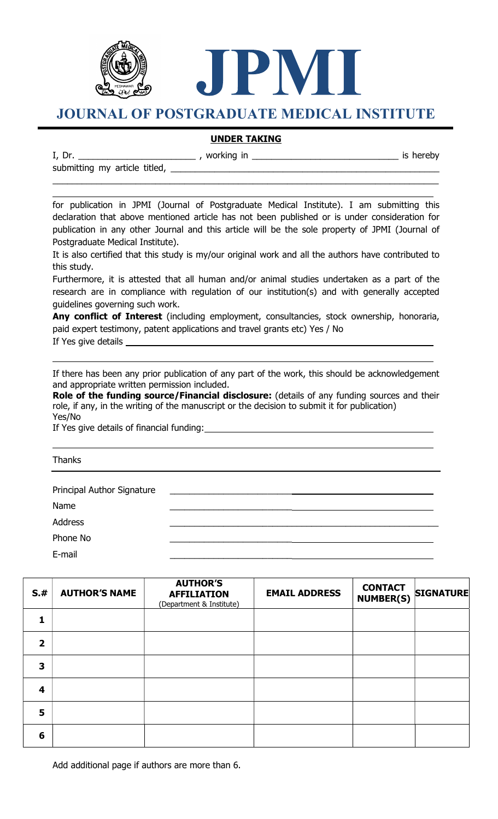

JOURNAL OF POSTGRADUATE MEDICAL INSTITUTE

JPMI

## UNDER TAKING

 $\_$  ,  $\_$  ,  $\_$  ,  $\_$  ,  $\_$  ,  $\_$  ,  $\_$  ,  $\_$  ,  $\_$  ,  $\_$  ,  $\_$  ,  $\_$  ,  $\_$  ,  $\_$  ,  $\_$  ,  $\_$  ,  $\_$  ,  $\_$  ,  $\_$  ,  $\_$  ,  $\_$  ,  $\_$  ,  $\_$  ,  $\_$  ,  $\_$  ,  $\_$  ,  $\_$  ,  $\_$  ,  $\_$  ,  $\_$  ,  $\_$  ,  $\_$  ,  $\_$  ,  $\_$  ,  $\_$  ,  $\_$  ,  $\_$  ,

I, Dr. \_\_\_\_\_\_\_\_\_\_\_\_\_\_\_\_\_\_\_\_\_\_\_\_ , working in \_\_\_\_\_\_\_\_\_\_\_\_\_\_\_\_\_\_\_\_\_\_\_\_\_\_\_\_\_\_ is hereby

submitting my article titled,

L

for publication in JPMI (Journal of Postgraduate Medical Institute). I am submitting this declaration that above mentioned article has not been published or is under consideration for publication in any other Journal and this article will be the sole property of JPMI (Journal of Postgraduate Medical Institute).

It is also certified that this study is my/our original work and all the authors have contributed to this study.

Furthermore, it is attested that all human and/or animal studies undertaken as a part of the research are in compliance with regulation of our institution(s) and with generally accepted guidelines governing such work.

Any conflict of Interest (including employment, consultancies, stock ownership, honoraria, paid expert testimony, patent applications and travel grants etc) Yes / No If Yes give details

If there has been any prior publication of any part of the work, this should be acknowledgement and appropriate written permission included.

Role of the funding source/Financial disclosure: (details of any funding sources and their role, if any, in the writing of the manuscript or the decision to submit it for publication) Yes/No

If Yes give details of financial funding:

Thanks

L

L

| Principal Author Signature | the contract of the contract of the |
|----------------------------|-------------------------------------|
| Name                       |                                     |
| <b>Address</b>             |                                     |
| Phone No                   |                                     |
| E-mail                     |                                     |

| S.#                     | <b>AUTHOR'S NAME</b> | <b>AUTHOR'S</b><br><b>AFFILIATION</b><br>(Department & Institute) | <b>EMAIL ADDRESS</b> | <b>CONTACT</b><br><b>NUMBER(S)</b> | <b>SIGNATURE</b> |
|-------------------------|----------------------|-------------------------------------------------------------------|----------------------|------------------------------------|------------------|
|                         |                      |                                                                   |                      |                                    |                  |
| $\overline{\mathbf{2}}$ |                      |                                                                   |                      |                                    |                  |
| 3                       |                      |                                                                   |                      |                                    |                  |
| 4                       |                      |                                                                   |                      |                                    |                  |
| 5                       |                      |                                                                   |                      |                                    |                  |
| 6                       |                      |                                                                   |                      |                                    |                  |

Add additional page if authors are more than 6.